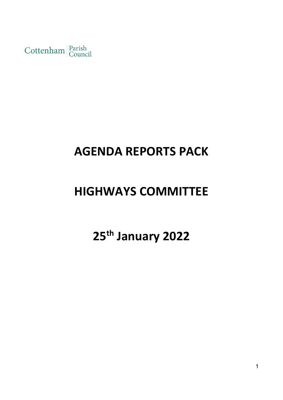Cottenham Parish

## **AGENDA REPORTS PACK**

## **HIGHWAYS COMMITTEE**

# **25th January 2022**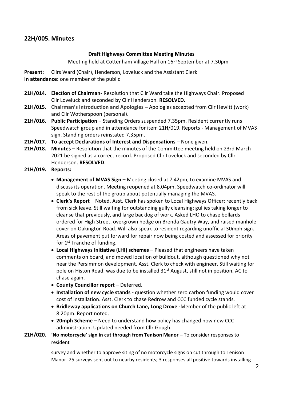### **22H/005. Minutes**

#### **Draft Highways Committee Meeting Minutes**

Meeting held at Cottenham Village Hall on 16<sup>th</sup> September at 7.30pm

**Present:** Cllrs Ward (Chair), Henderson, Loveluck and the Assistant Clerk **In attendance:** one member of the public

- **21H/014. Election of Chairman** Resolution that Cllr Ward take the Highways Chair. Proposed Cllr Loveluck and seconded by Cllr Henderson. **RESOLVED.**
- **21H/015. Chairman's Introduction and Apologies –** Apologies accepted from Cllr Hewitt (work) and Cllr Wotherspoon (personal).
- **21H/016. Public Participation –** Standing Orders suspended 7.35pm. Resident currently runs Speedwatch group and in attendance for item 21H/019. Reports - Management of MVAS sign. Standing orders reinstated 7.35pm.
- **21H/017. To accept Declarations of Interest and Dispensations**  None given.
- **21H/018. Minutes –** Resolution that the minutes of the Committee meeting held on 23rd March 2021 be signed as a correct record. Proposed Cllr Loveluck and seconded by Cllr Henderson. **RESOLVED**.
- **21H/019. Reports:** 
	- Management of MVAS Sign Meeting closed at 7.42pm, to examine MVAS and discuss its operation. Meeting reopened at 8.04pm. Speedwatch co-ordinator will speak to the rest of the group about potentially managing the MVAS.
	- **Clerk's Report** Noted. Asst. Clerk has spoken to Local Highways Officer; recently back from sick leave. Still waiting for outstanding gully cleansing; gullies taking longer to cleanse that previously, and large backlog of work. Asked LHO to chase bollards ordered for High Street, overgrown hedge on Brenda Gautry Way, and raised manhole cover on Oakington Road. Will also speak to resident regarding unofficial 30mph sign. Areas of pavement put forward for repair now being costed and assessed for priority for 1<sup>st</sup> Tranche of funding.
	- **Local Highways Initiative (LHI) schemes** Pleased that engineers have taken comments on board, and moved location of buildout, although questioned why not near the Persimmon development. Asst. Clerk to check with engineer. Still waiting for pole on Histon Road, was due to be installed 31<sup>st</sup> August, still not in position, AC to chase again.
	- **County Councillor report –** Deferred.
	- **Installation of new cycle stands -** question whether zero carbon funding would cover cost of installation. Asst. Clerk to chase Redrow and CCC funded cycle stands.
	- **Bridleway applications on Church Lane, Long Drove -**Member of the public left at 8.20pm. Report noted.
	- **20mph Scheme –** Need to understand how policy has changed now new CCC administration. Updated needed from Cllr Gough.
- **21H/020. 'No motorcycle' sign in cut through from Tenison Manor –** To consider responses to resident

survey and whether to approve siting of no motorcycle signs on cut through to Tenison Manor. 25 surveys sent out to nearby residents; 3 responses all positive towards installing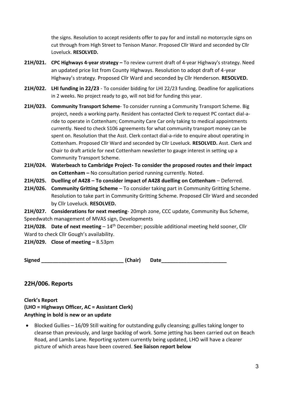the signs. Resolution to accept residents offer to pay for and install no motorcycle signs on cut through from High Street to Tenison Manor. Proposed Cllr Ward and seconded by Cllr Loveluck. **RESOLVED.**

- **21H/021. CPC Highways 4-year strategy –** To review current draft of 4-year Highway's strategy. Need an updated price list from County Highways. Resolution to adopt draft of 4-year Highway's strategy. Proposed Cllr Ward and seconded by Cllr Henderson. **RESOLVED.**
- **21H/022. LHI funding in 22/23** To consider bidding for LHI 22/23 funding. Deadline for applications in 2 weeks. No project ready to go, will not bid for funding this year.
- **21H/023. Community Transport Scheme** To consider running a Community Transport Scheme. Big project, needs a working party. Resident has contacted Clerk to request PC contact dial-aride to operate in Cottenham; Community Care Car only taking to medical appointments currently. Need to check S106 agreements for what community transport money can be spent on. Resolution that the Asst. Clerk contact dial-a-ride to enquire about operating in Cottenham. Proposed Cllr Ward and seconded by Cllr Loveluck. **RESOLVED.** Asst. Clerk and Chair to draft article for next Cottenham newsletter to gauge interest in setting up a Community Transport Scheme.
- **21H/024. Waterbeach to Cambridge Project- To consider the proposed routes and their impact on Cottenham –** No consultation period running currently. Noted.
- **21H/025. Duelling of A428 – To consider impact of A428 duelling on Cottenham** Deferred.
- **21H/026. Community Gritting Scheme**  To consider taking part in Community Gritting Scheme. Resolution to take part in Community Gritting Scheme. Proposed Cllr Ward and seconded by Cllr Loveluck. **RESOLVED.**
- **21H/027. Considerations for next meeting** 20mph zone, CCC update, Community Bus Scheme, Speedwatch management of MVAS sign, Developments

**21H/028. Date of next meeting** – 14<sup>th</sup> December; possible additional meeting held sooner. Cllr Ward to check Cllr Gough's availability.

### **21H/029. Close of meeting –** 8.53pm

**Signed \_\_\_\_\_\_\_\_\_\_\_\_\_\_\_\_\_\_\_\_\_\_\_\_\_\_\_\_\_ (Chair) Date\_\_\_\_\_\_\_\_\_\_\_\_\_\_\_\_\_\_\_\_\_\_\_**

## **22H/006. Reports**

**Clerk's Report (LHO = Highways Officer, AC = Assistant Clerk) Anything in bold is new or an update**

• Blocked Gullies – 16/09 Still waiting for outstanding gully cleansing; gullies taking longer to cleanse than previously, and large backlog of work. Some jetting has been carried out on Beach Road, and Lambs Lane. Reporting system currently being updated, LHO will have a clearer picture of which areas have been covered. **See liaison report below**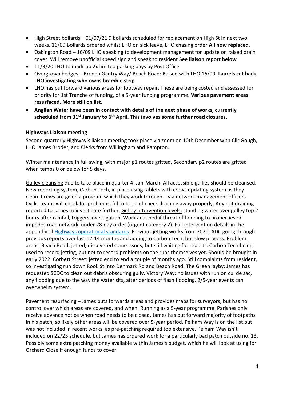- High Street bollards 01/07/21 9 bollards scheduled for replacement on High St in next two weeks. 16/09 Bollards ordered whilst LHO on sick leave, LHO chasing order.**All now replaced**.
- Oakington Road 16/09 LHO speaking to development management for update on raised drain cover. Will remove unofficial speed sign and speak to resident **See liaison report below**
- 11/3/20 LHO to mark-up 2x limited parking bays by Post Office
- Overgrown hedges Brenda Gautry Way/ Beach Road: Raised with LHO 16/09. **Laurels cut back. LHO investigating who owns bramble strip**
- LHO has put forward various areas for footway repair. These are being costed and assessed for priority for 1st Tranche of funding, of a 5-year funding programme. **Various pavement areas resurfaced. More still on list.**
- **Anglian Water have been in contact with details of the next phase of works, currently scheduled from 31st January to 6th April. This involves some further road closures.**

#### **Highways Liaison meeting**

Second quarterly Highway's liaison meeting took place via zoom on 10th December with Cllr Gough, LHO James Broder, and Clerks from Willingham and Rampton.

Winter maintenance in full swing, with major p1 routes gritted, Secondary p2 routes are gritted when temps 0 or below for 5 days.

Gulley cleansing due to take place in quarter 4: Jan-March. All accessible gullies should be cleansed. New reporting system, Carbon Tech, in place using tablets with crews updating system as they clean. Crews are given a program which they work through – via network management officers. Cyclic teams will check for problems: fill to top and check draining away properly. Any not draining reported to James to investigate further. Gulley Intervention levels: standing water over gulley top 2 hours after rainfall, triggers investigation. Work actioned if threat of flooding to properties or impedes road network, under 28-day order (urgent category 2). Full intervention details in the appendix of Highways [operational](https://www.cambridgeshire.gov.uk/residents/travel-roads-and-parking/transport-plans-and-policies/highway-policies-and-capital-maintenance-programme) standards. Previous jetting works from 2020: ADC going through previous reports over last 12-14 months and adding to Carbon Tech, but slow process. Problem areas: Beach Road: jetted, discovered some issues, but still waiting for reports. Carbon Tech being used to record jetting, but not to record problems on the runs themselves yet. Should be brought in early 2022. Corbett Street: jetted end to end a couple of months ago. Still complaints from resident, so investigating run down Rook St into Denmark Rd and Beach Road. The Green layby: James has requested SCDC to clean out debris obscuring gully. Victory Way: no issues with run on cul de sac, any flooding due to the way the water sits, after periods of flash flooding. 2/5-year events can overwhelm system.

Pavement resurfacing – James puts forwards areas and provides maps for surveyors, but has no control over which areas are covered, and when. Running as a 5-year programme. Parishes only receive advance notice when road needs to be closed. James has put forward majority of footpaths in his patch, so likely other areas will be covered over 5-year period. Pelham Way is on the list but was not included in recent works, as pre-patching required too extensive. Pelham Way isn't included on 22/23 schedule, but James has ordered work for a particularly bad patch outside no. 13. Possibly some extra patching money available within James's budget, which he will look at using for Orchard Close if enough funds to cover.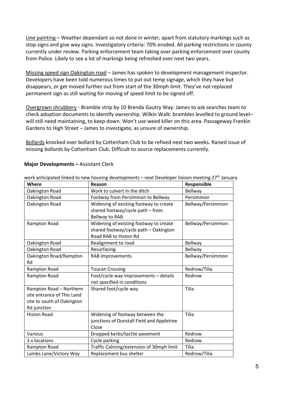Line painting – Weather dependant so not done in winter, apart from statutory markings such as stop signs and give way signs. Investigatory criteria: 70% eroded. All parking restrictions in county currently under review. Parking enforcement team taking over parking enforcement over county from Police. Likely to see a lot of markings being refreshed over next two years.

Missing speed sign Oakington road – James has spoken to development management inspector. Developers have been told numerous times to put out temp signage, which they have but disappears, or get moved further out from start of the 30mph limit. They've not replaced permanent sign as still waiting for moving of speed limit to be signed off.

Overgrown shrubbery - Bramble strip by 10 Brenda Gautry Way: James to ask searches team to check adoption documents to identify ownership. Wilkin Walk: brambles levelled to ground level– will still need maintaining, to keep down. Won't use weed killer on this area. Passageway Frankin Gardens to High Street – James to investigate, as unsure of ownership.

Bollards knocked over bollard by Cottenham Club to be refixed next two weeks. Raised issue of missing bollards by Cottenham Club. Difficult to source replacements currently.

| Where                                                                                              | Reason                                                                                                   | Responsible       |  |
|----------------------------------------------------------------------------------------------------|----------------------------------------------------------------------------------------------------------|-------------------|--|
| Oakington Road                                                                                     | Work to culvert in the ditch                                                                             | <b>Bellway</b>    |  |
| Oakington Road                                                                                     | Footway from Persimmon to Bellway                                                                        | Persimmon         |  |
| Oakington Road                                                                                     | Widening of existing footway to create<br>shared footway/cycle path - from<br>Bellway to RAB             | Bellway/Persimmon |  |
| Rampton Road                                                                                       | Widening of existing footway to create<br>shared footway/cycle path - Oakington<br>Road RAB to Histon Rd | Bellway/Persimmon |  |
| Oakington Road                                                                                     | Realignment to road                                                                                      | <b>Bellway</b>    |  |
| Oakington Road                                                                                     | Resurfacing                                                                                              | <b>Bellway</b>    |  |
| Oakington Road/Rampton<br><b>Rd</b>                                                                | RAB improvements                                                                                         | Bellway/Persimmon |  |
| Rampton Road                                                                                       | <b>Toucan Crossing</b>                                                                                   | Redrow/Tilia      |  |
| Rampton Road                                                                                       | Foot/cycle way improvements - details<br>not specified in conditions                                     | Redrow            |  |
| Rampton Road - Northern<br>site entrance of This Land<br>site to south of Oakington<br>Rd junction | Shared foot/cycle way                                                                                    | Tilia             |  |
| <b>Histon Road</b>                                                                                 | Widening of footway between the<br>junctions of Dunstall Field and Appletree<br>Close                    | Tilia             |  |
| Various                                                                                            | Dropped kerbs/tactile pavement                                                                           | Redrow            |  |
| 3 x locations                                                                                      | Cycle parking                                                                                            | Redrow            |  |
| Rampton Road                                                                                       | Traffic Calming/extension of 30mph limit                                                                 | Tilia             |  |
| Lambs Lane/Victory Way                                                                             | Replacement bus shelter                                                                                  | Redrow/Tilia      |  |

#### **Major Developments –** Assistant Clerk

work anticipated linked to new housing developments – next Developer liaison meeting 27<sup>th</sup> January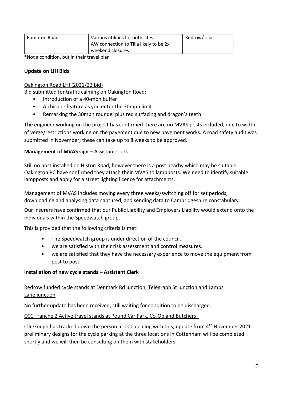| Rampton Road | Various utilities for both sites       | Redrow/Tilia |
|--------------|----------------------------------------|--------------|
|              | AW connection to Tilia likely to be 2x |              |
|              | weekend closures                       |              |

\*Not a condition, but in their travel plan

#### **Update on LHI Bids**

#### Oakington Road LHI (2021/22 bid)

Bid submitted for traffic calming on Oakington Road:

- Introduction of a 40-mph buffer
- A chicane feature as you enter the 30mph limit
- Remarking the 30mph roundel plus red surfacing and dragon's teeth

The engineer working on the project has confirmed there are no MVAS posts included, due to width of verge/restrictions working on the pavement due to new pavement works. A road safety audit was submitted in November; these can take up to 8 weeks to be approved.

#### **Management of MVAS sign - Assistant Clerk**

Still no post installed on Histon Road, however there is a post nearby which may be suitable. Oakington PC have confirmed they attach their MVAS to lampposts. We need to identify suitable lampposts and apply for a street lighting licence for attachments.

Management of MVAS includes moving every three weeks/switching off for set periods, downloading and analysing data captured, and sending data to Cambridgeshire constabulary.

Our insurers have confirmed that our Public Liability and Employers Liability would extend onto the individuals within the Speedwatch group.

This is provided that the following criteria is met:

- The Speedwatch group is under direction of the council.
- we are satisfied with their risk assessment and control measures.
- we are satisfied that they have the necessary experience to move the equipment from post to post.

#### **Installation of new cycle stands – Assistant Clerk**

#### Redrow funded cycle stands at Denmark Rd junction, Telegraph St junction and Lambs Lane junction

No further update has been received, still waiting for condition to be discharged.

#### CCC Tranche 2 Active travel stands at Pound Car Park, Co-Op and Butchers

Cllr Gough has tracked down the person at CCC dealing with this; update from 4<sup>th</sup> November 2021: preliminary designs for the cycle parking at the three locations in Cottenham will be completed shortly and we will then be consulting on them with stakeholders.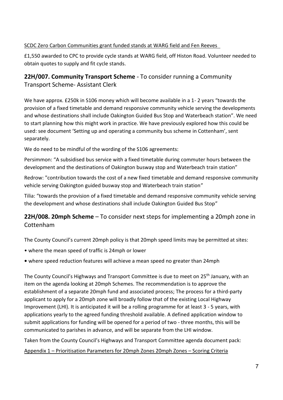## SCDC Zero Carbon Communities grant funded stands at WARG field and Fen Reeves

£1,550 awarded to CPC to provide cycle stands at WARG field, off Histon Road. Volunteer needed to obtain quotes to supply and fit cycle stands.

## **22H/007. Community Transport Scheme -** To consider running a Community Transport Scheme- Assistant Clerk

We have approx. £250k in S106 money which will become available in a 1- 2 years "towards the provision of a fixed timetable and demand responsive community vehicle serving the developments and whose destinations shall include Oakington Guided Bus Stop and Waterbeach station". We need to start planning how this might work in practice. We have previously explored how this could be used: see document 'Setting up and operating a community bus scheme in Cottenham', sent separately.

We do need to be mindful of the wording of the S106 agreements:

Persimmon: "A subsidised bus service with a fixed timetable during commuter hours between the development and the destinations of Oakington busway stop and Waterbeach train station"

Redrow: "contribution towards the cost of a new fixed timetable and demand responsive community vehicle serving Oakington guided busway stop and Waterbeach train station"

Tilia: "towards the provision of a fixed timetable and demand responsive community vehicle serving the development and whose destinations shall include Oakington Guided Bus Stop"

## **22H/008. 20mph Scheme** – To consider next steps for implementing a 20mph zone in Cottenham

The County Council's current 20mph policy is that 20mph speed limits may be permitted at sites:

- where the mean speed of traffic is 24mph or lower
- where speed reduction features will achieve a mean speed no greater than 24mph

The County Council's Highways and Transport Committee is due to meet on 25<sup>th</sup> January, with an item on the agenda looking at 20mph Schemes. The recommendation is to approve the establishment of a separate 20mph fund and associated process; The process for a third-party applicant to apply for a 20mph zone will broadly follow that of the existing Local Highway Improvement (LHI). It is anticipated it will be a rolling programme for at least 3 - 5 years, with applications yearly to the agreed funding threshold available. A defined application window to submit applications for funding will be opened for a period of two - three months, this will be communicated to parishes in advance, and will be separate from the LHI window.

Taken from the County Council's Highways and Transport Committee agenda document pack: Appendix 1 – Prioritisation Parameters for 20mph Zones 20mph Zones – Scoring Criteria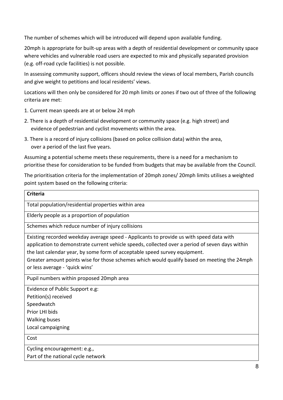The number of schemes which will be introduced will depend upon available funding.

20mph is appropriate for built-up areas with a depth of residential development or community space where vehicles and vulnerable road users are expected to mix and physically separated provision (e.g. off-road cycle facilities) is not possible.

In assessing community support, officers should review the views of local members, Parish councils and give weight to petitions and local residents' views.

Locations will then only be considered for 20 mph limits or zones if two out of three of the following criteria are met:

- 1. Current mean speeds are at or below 24 mph
- 2. There is a depth of residential development or community space (e.g. high street) and evidence of pedestrian and cyclist movements within the area.
- 3. There is a record of injury collisions (based on police collision data) within the area, over a period of the last five years.

Assuming a potential scheme meets these requirements, there is a need for a mechanism to prioritise these for consideration to be funded from budgets that may be available from the Council.

The prioritisation criteria for the implementation of 20mph zones/ 20mph limits utilises a weighted point system based on the following criteria:

| <b>Criteria</b>                                                                                 |
|-------------------------------------------------------------------------------------------------|
| Total population/residential properties within area                                             |
| Elderly people as a proportion of population                                                    |
| Schemes which reduce number of injury collisions                                                |
| Existing recorded weekday average speed - Applicants to provide us with speed data with         |
| application to demonstrate current vehicle speeds, collected over a period of seven days within |
| the last calendar year, by some form of acceptable speed survey equipment.                      |
| Greater amount points wise for those schemes which would qualify based on meeting the 24mph     |
| or less average - 'quick wins'                                                                  |
| Pupil numbers within proposed 20mph area                                                        |
| Evidence of Public Support e.g:                                                                 |
| Petition(s) received                                                                            |
| Speedwatch                                                                                      |
| Prior LHI bids                                                                                  |
| <b>Walking buses</b>                                                                            |
| Local campaigning                                                                               |
| Cost                                                                                            |
| Cycling encouragement: e.g.,                                                                    |
| Part of the national cycle network                                                              |
|                                                                                                 |